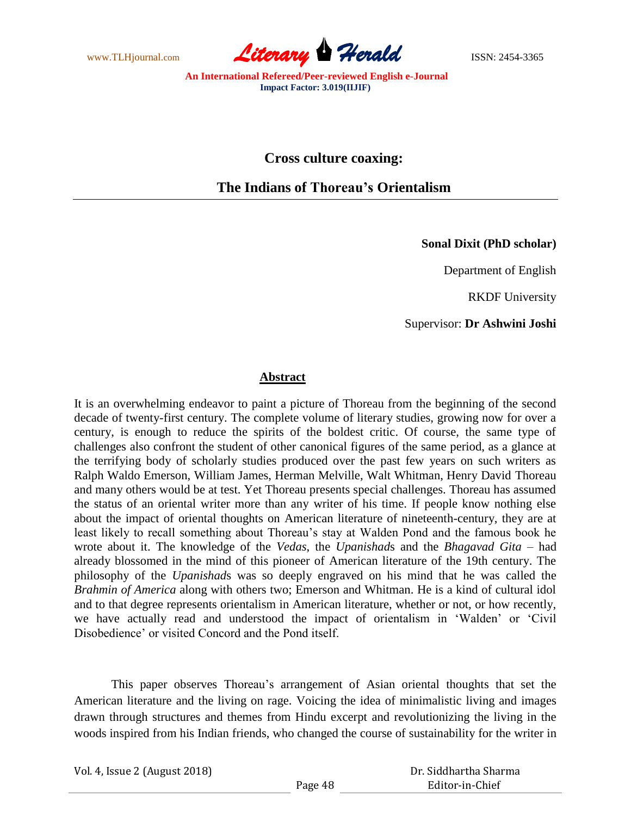

**Cross culture coaxing:**

**The Indians of Thoreau's Orientalism**

**Sonal Dixit (PhD scholar)**

Department of English

RKDF University

Supervisor: **Dr Ashwini Joshi**

## **Abstract**

It is an overwhelming endeavor to paint a picture of Thoreau from the beginning of the second decade of twenty-first century. The complete volume of literary studies, growing now for over a century, is enough to reduce the spirits of the boldest critic. Of course, the same type of challenges also confront the student of other canonical figures of the same period, as a glance at the terrifying body of scholarly studies produced over the past few years on such writers as Ralph Waldo Emerson, William James, Herman Melville, Walt Whitman, Henry David Thoreau and many others would be at test. Yet Thoreau presents special challenges. Thoreau has assumed the status of an oriental writer more than any writer of his time. If people know nothing else about the impact of oriental thoughts on American literature of nineteenth-century, they are at least likely to recall something about Thoreau"s stay at Walden Pond and the famous book he wrote about it. The knowledge of the *Vedas*, the *Upanishad*s and the *Bhagavad Gita* – had already blossomed in the mind of this pioneer of American literature of the 19th century. The philosophy of the *Upanishad*s was so deeply engraved on his mind that he was called the *Brahmin of America* along with others two; Emerson and Whitman. He is a kind of cultural idol and to that degree represents orientalism in American literature, whether or not, or how recently, we have actually read and understood the impact of orientalism in "Walden" or "Civil Disobedience" or visited Concord and the Pond itself.

This paper observes Thoreau"s arrangement of Asian oriental thoughts that set the American literature and the living on rage. Voicing the idea of minimalistic living and images drawn through structures and themes from Hindu excerpt and revolutionizing the living in the woods inspired from his Indian friends, who changed the course of sustainability for the writer in

Vol. 4, Issue 2 (August 2018)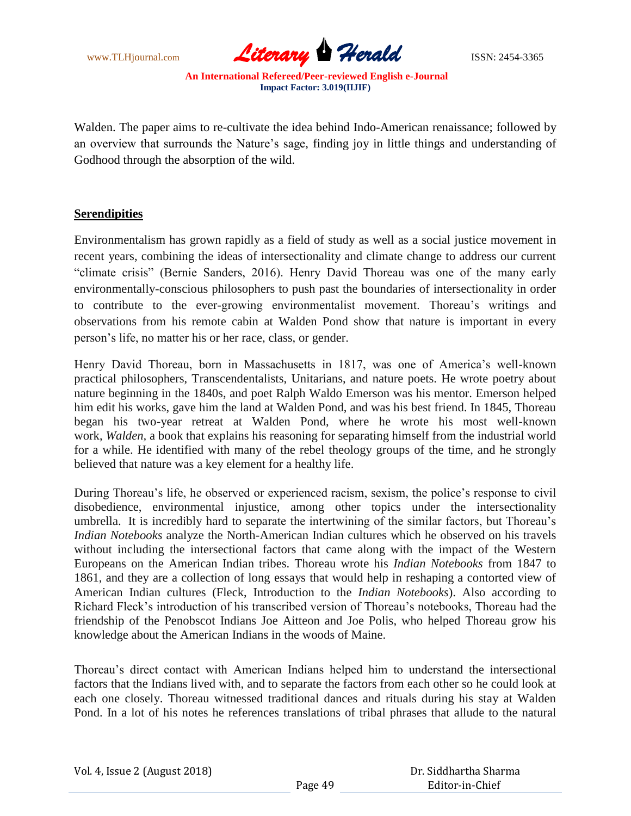

Walden. The paper aims to re-cultivate the idea behind Indo-American renaissance; followed by an overview that surrounds the Nature's sage, finding joy in little things and understanding of Godhood through the absorption of the wild.

## **Serendipities**

Environmentalism has grown rapidly as a field of study as well as a social justice movement in recent years, combining the ideas of intersectionality and climate change to address our current "climate crisis" (Bernie Sanders, 2016). Henry David Thoreau was one of the many early environmentally-conscious philosophers to push past the boundaries of intersectionality in order to contribute to the ever-growing environmentalist movement. Thoreau"s writings and observations from his remote cabin at Walden Pond show that nature is important in every person"s life, no matter his or her race, class, or gender.

Henry David Thoreau, born in Massachusetts in 1817, was one of America"s well-known practical philosophers, Transcendentalists, Unitarians, and nature poets. He wrote poetry about nature beginning in the 1840s, and poet Ralph Waldo Emerson was his mentor. Emerson helped him edit his works, gave him the land at Walden Pond, and was his best friend. In 1845, Thoreau began his two-year retreat at Walden Pond, where he wrote his most well-known work, *Walden,* a book that explains his reasoning for separating himself from the industrial world for a while. He identified with many of the rebel theology groups of the time, and he strongly believed that nature was a key element for a healthy life.

During Thoreau"s life, he observed or experienced racism, sexism, the police"s response to civil disobedience, environmental injustice, among other topics under the intersectionality umbrella. It is incredibly hard to separate the intertwining of the similar factors, but Thoreau"s *Indian Notebooks* analyze the North-American Indian cultures which he observed on his travels without including the intersectional factors that came along with the impact of the Western Europeans on the American Indian tribes. Thoreau wrote his *Indian Notebooks* from 1847 to 1861, and they are a collection of long essays that would help in reshaping a contorted view of American Indian cultures (Fleck, Introduction to the *Indian Notebooks*). Also according to Richard Fleck"s introduction of his transcribed version of Thoreau"s notebooks, Thoreau had the friendship of the Penobscot Indians Joe Aitteon and Joe Polis, who helped Thoreau grow his knowledge about the American Indians in the woods of Maine.

Thoreau"s direct contact with American Indians helped him to understand the intersectional factors that the Indians lived with, and to separate the factors from each other so he could look at each one closely. Thoreau witnessed traditional dances and rituals during his stay at Walden Pond. In a lot of his notes he references translations of tribal phrases that allude to the natural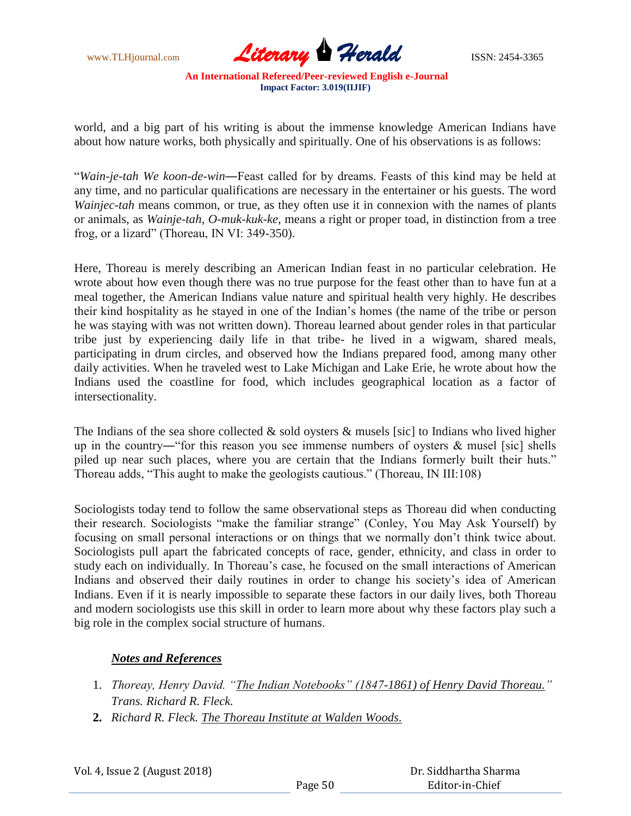

world, and a big part of his writing is about the immense knowledge American Indians have about how nature works, both physically and spiritually. One of his observations is as follows:

"*Wain-je-tah We koon-de-win*―Feast called for by dreams. Feasts of this kind may be held at any time, and no particular qualifications are necessary in the entertainer or his guests. The word *Wainjec-tah* means common, or true, as they often use it in connexion with the names of plants or animals, as *Wainje-tah*, *O-muk-kuk-ke*, means a right or proper toad, in distinction from a tree frog, or a lizard" (Thoreau, IN VI: 349-350).

Here, Thoreau is merely describing an American Indian feast in no particular celebration. He wrote about how even though there was no true purpose for the feast other than to have fun at a meal together, the American Indians value nature and spiritual health very highly. He describes their kind hospitality as he stayed in one of the Indian"s homes (the name of the tribe or person he was staying with was not written down). Thoreau learned about gender roles in that particular tribe just by experiencing daily life in that tribe- he lived in a wigwam, shared meals, participating in drum circles, and observed how the Indians prepared food, among many other daily activities. When he traveled west to Lake Michigan and Lake Erie, he wrote about how the Indians used the coastline for food, which includes geographical location as a factor of intersectionality.

The Indians of the sea shore collected  $\&$  sold oysters  $\&$  musels [sic] to Indians who lived higher up in the country—"for this reason you see immense numbers of oysters  $\&$  musel [sic] shells piled up near such places, where you are certain that the Indians formerly built their huts." Thoreau adds, "This aught to make the geologists cautious." (Thoreau, IN III:108)

Sociologists today tend to follow the same observational steps as Thoreau did when conducting their research. Sociologists "make the familiar strange" (Conley, You May Ask Yourself) by focusing on small personal interactions or on things that we normally don"t think twice about. Sociologists pull apart the fabricated concepts of race, gender, ethnicity, and class in order to study each on individually. In Thoreau"s case, he focused on the small interactions of American Indians and observed their daily routines in order to change his society"s idea of American Indians. Even if it is nearly impossible to separate these factors in our daily lives, both Thoreau and modern sociologists use this skill in order to learn more about why these factors play such a big role in the complex social structure of humans.

## *Notes and References*

- 1. *Thoreay, Henry David. "The Indian Notebooks" (1847-1861) of Henry David Thoreau." Trans. Richard R. Fleck.*
- **2.** *Richard R. Fleck. The Thoreau Institute at Walden Woods.*